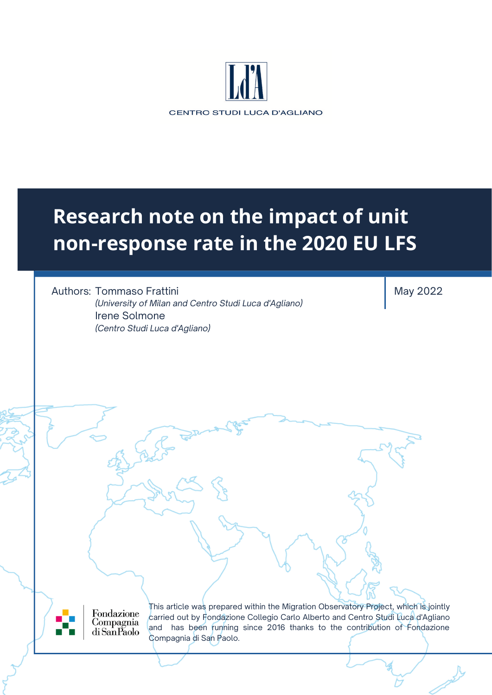

# **Research note on the impact of unit non-response rate in the 2020 EU LFS**

Authors: Tommaso Frattini *(University of Milan and Centro Studi Luca d'Agliano)* Irene Solmone *(Centro Studi Luca d'Agliano)*

May 2022

Fondazione Compagnia di San Paolo

This article was prepared within the Migration Observatory Project, which is jointly carried out by Fondazione Collegio Carlo Alberto and Centro Studi Luca d'Agliano and has been running since 2016 thanks to the contribution of Fondazione Compagnia di San Paolo.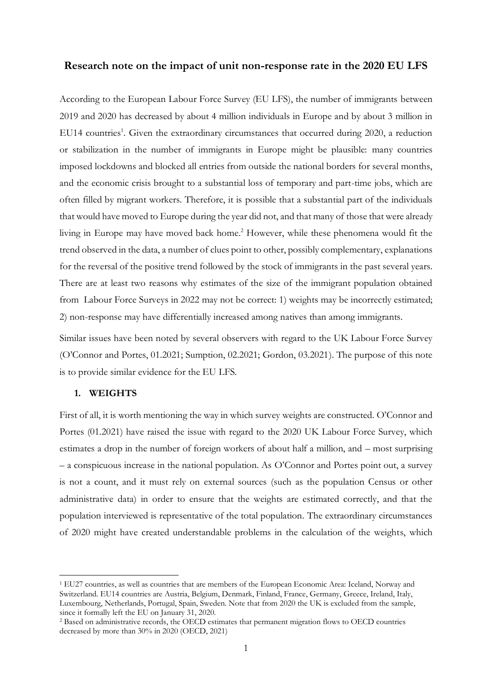#### **Research note on the impact of unit non-response rate in the 2020 EU LFS**

According to the European Labour Force Survey (EU LFS), the number of immigrants between 2019 and 2020 has decreased by about 4 million individuals in Europe and by about 3 million in EU14 countries<sup>1</sup>. Given the extraordinary circumstances that occurred during 2020, a reduction or stabilization in the number of immigrants in Europe might be plausible: many countries imposed lockdowns and blocked all entries from outside the national borders for several months, and the economic crisis brought to a substantial loss of temporary and part-time jobs, which are often filled by migrant workers. Therefore, it is possible that a substantial part of the individuals that would have moved to Europe during the year did not, and that many of those that were already living in Europe may have moved back home.<sup>2</sup> However, while these phenomena would fit the trend observed in the data, a number of clues point to other, possibly complementary, explanations for the reversal of the positive trend followed by the stock of immigrants in the past several years. There are at least two reasons why estimates of the size of the immigrant population obtained from Labour Force Surveys in 2022 may not be correct: 1) weights may be incorrectly estimated; 2) non-response may have differentially increased among natives than among immigrants.

Similar issues have been noted by several observers with regard to the UK Labour Force Survey (O'Connor and Portes, 01.2021; Sumption, 02.2021; Gordon, 03.2021). The purpose of this note is to provide similar evidence for the EU LFS.

### **1. WEIGHTS**

First of all, it is worth mentioning the way in which survey weights are constructed. O'Connor and Portes (01.2021) have raised the issue with regard to the 2020 UK Labour Force Survey, which estimates a drop in the number of foreign workers of about half a million, and – most surprising – a conspicuous increase in the national population. As O'Connor and Portes point out, a survey is not a count, and it must rely on external sources (such as the population Census or other administrative data) in order to ensure that the weights are estimated correctly, and that the population interviewed is representative of the total population. The extraordinary circumstances of 2020 might have created understandable problems in the calculation of the weights, which

<sup>&</sup>lt;sup>1</sup> EU27 countries, as well as countries that are members of the European Economic Area: Iceland, Norway and Switzerland. EU14 countries are Austria, Belgium, Denmark, Finland, France, Germany, Greece, Ireland, Italy, Luxembourg, Netherlands, Portugal, Spain, Sweden. Note that from 2020 the UK is excluded from the sample, since it formally left the EU on January 31, 2020.

<sup>2</sup> Based on administrative records, the OECD estimates that permanent migration flows to OECD countries decreased by more than 30% in 2020 (OECD, 2021)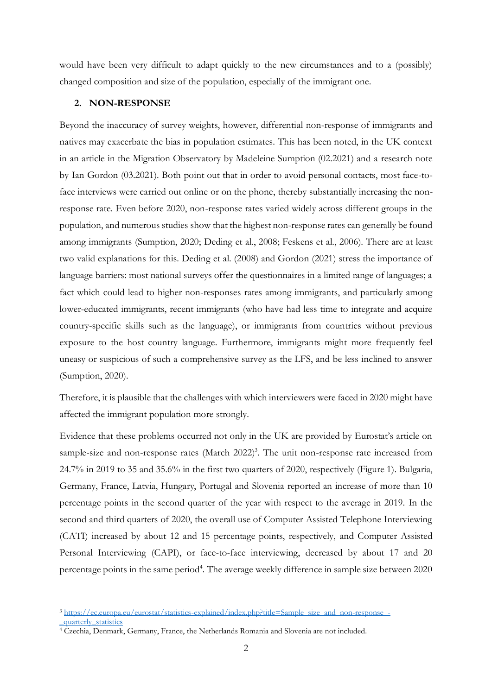would have been very difficult to adapt quickly to the new circumstances and to a (possibly) changed composition and size of the population, especially of the immigrant one.

### **2. NON-RESPONSE**

Beyond the inaccuracy of survey weights, however, differential non-response of immigrants and natives may exacerbate the bias in population estimates. This has been noted, in the UK context in an article in the Migration Observatory by Madeleine Sumption (02.2021) and a research note by Ian Gordon (03.2021). Both point out that in order to avoid personal contacts, most face-toface interviews were carried out online or on the phone, thereby substantially increasing the nonresponse rate. Even before 2020, non-response rates varied widely across different groups in the population, and numerous studies show that the highest non-response rates can generally be found among immigrants (Sumption, 2020; Deding et al., 2008; Feskens et al., 2006). There are at least two valid explanations for this. Deding et al. (2008) and Gordon (2021) stress the importance of language barriers: most national surveys offer the questionnaires in a limited range of languages; a fact which could lead to higher non-responses rates among immigrants, and particularly among lower-educated immigrants, recent immigrants (who have had less time to integrate and acquire country-specific skills such as the language), or immigrants from countries without previous exposure to the host country language. Furthermore, immigrants might more frequently feel uneasy or suspicious of such a comprehensive survey as the LFS, and be less inclined to answer (Sumption, 2020).

Therefore, it is plausible that the challenges with which interviewers were faced in 2020 might have affected the immigrant population more strongly.

Evidence that these problems occurred not only in the UK are provided by Eurostat's article on sample-size and non-response rates (March 2022)<sup>3</sup>. The unit non-response rate increased from 24.7% in 2019 to 35 and 35.6% in the first two quarters of 2020, respectively (Figure 1). Bulgaria, Germany, France, Latvia, Hungary, Portugal and Slovenia reported an increase of more than 10 percentage points in the second quarter of the year with respect to the average in 2019. In the second and third quarters of 2020, the overall use of Computer Assisted Telephone Interviewing (CATI) increased by about 12 and 15 percentage points, respectively, and Computer Assisted Personal Interviewing (CAPI), or face-to-face interviewing, decreased by about 17 and 20 percentage points in the same period<sup>4</sup>. The average weekly difference in sample size between 2020

<sup>&</sup>lt;sup>3</sup> [https://ec.europa.eu/eurostat/statistics-explained/index.php?title=Sample\\_size\\_and\\_non-response\\_-](https://ec.europa.eu/eurostat/statistics-explained/index.php?title=Sample_size_and_non-response_-_quarterly_statistics) [\\_quarterly\\_statistics](https://ec.europa.eu/eurostat/statistics-explained/index.php?title=Sample_size_and_non-response_-_quarterly_statistics)

<sup>4</sup> Czechia, Denmark, Germany, France, the Netherlands Romania and Slovenia are not included.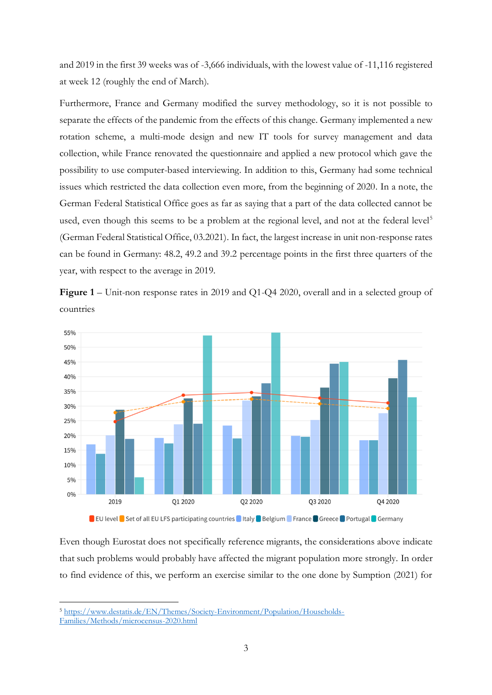and 2019 in the first 39 weeks was of -3,666 individuals, with the lowest value of -11,116 registered at week 12 (roughly the end of March).

Furthermore, France and Germany modified the survey methodology, so it is not possible to separate the effects of the pandemic from the effects of this change. Germany implemented a new rotation scheme, a multi-mode design and new IT tools for survey management and data collection, while France renovated the questionnaire and applied a new protocol which gave the possibility to use computer-based interviewing. In addition to this, Germany had some technical issues which restricted the data collection even more, from the beginning of 2020. In a note, the German Federal Statistical Office goes as far as saying that a part of the data collected cannot be used, even though this seems to be a problem at the regional level, and not at the federal level<sup>5</sup> (German Federal Statistical Office, 03.2021). In fact, the largest increase in unit non-response rates can be found in Germany: 48.2, 49.2 and 39.2 percentage points in the first three quarters of the year, with respect to the average in 2019.





**DEU** level **D** Set of all EU LFS participating countries I Italy Belgium France Greece Portugal Germany

Even though Eurostat does not specifically reference migrants, the considerations above indicate that such problems would probably have affected the migrant population more strongly. In order to find evidence of this, we perform an exercise similar to the one done by Sumption (2021) for

<sup>5</sup> [https://www.destatis.de/EN/Themes/Society-Environment/Population/Households-](https://www.destatis.de/EN/Themes/Society-Environment/Population/Households-Families/Methods/microcensus-2020.html)[Families/Methods/microcensus-2020.html](https://www.destatis.de/EN/Themes/Society-Environment/Population/Households-Families/Methods/microcensus-2020.html)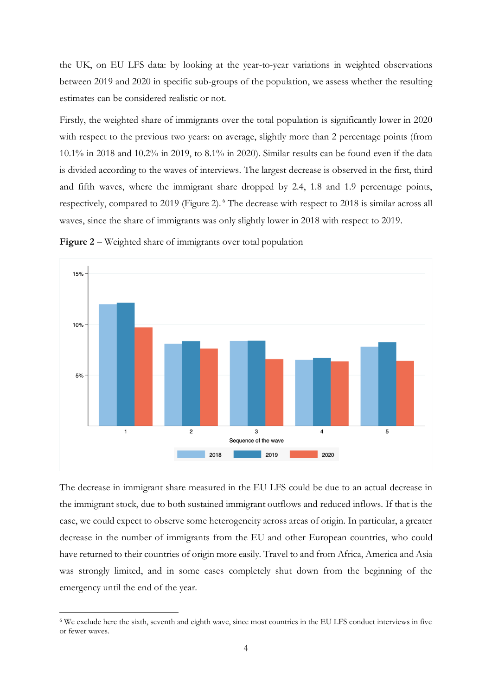the UK, on EU LFS data: by looking at the year-to-year variations in weighted observations between 2019 and 2020 in specific sub-groups of the population, we assess whether the resulting estimates can be considered realistic or not.

Firstly, the weighted share of immigrants over the total population is significantly lower in 2020 with respect to the previous two years: on average, slightly more than 2 percentage points (from 10.1% in 2018 and 10.2% in 2019, to 8.1% in 2020). Similar results can be found even if the data is divided according to the waves of interviews. The largest decrease is observed in the first, third and fifth waves, where the immigrant share dropped by 2.4, 1.8 and 1.9 percentage points, respectively, compared to 2019 (Figure 2). <sup>6</sup> The decrease with respect to 2018 is similar across all waves, since the share of immigrants was only slightly lower in 2018 with respect to 2019.



**Figure 2** – Weighted share of immigrants over total population

The decrease in immigrant share measured in the EU LFS could be due to an actual decrease in the immigrant stock, due to both sustained immigrant outflows and reduced inflows. If that is the case, we could expect to observe some heterogeneity across areas of origin. In particular, a greater decrease in the number of immigrants from the EU and other European countries, who could have returned to their countries of origin more easily. Travel to and from Africa, America and Asia was strongly limited, and in some cases completely shut down from the beginning of the emergency until the end of the year.

<sup>6</sup> We exclude here the sixth, seventh and eighth wave, since most countries in the EU LFS conduct interviews in five or fewer waves.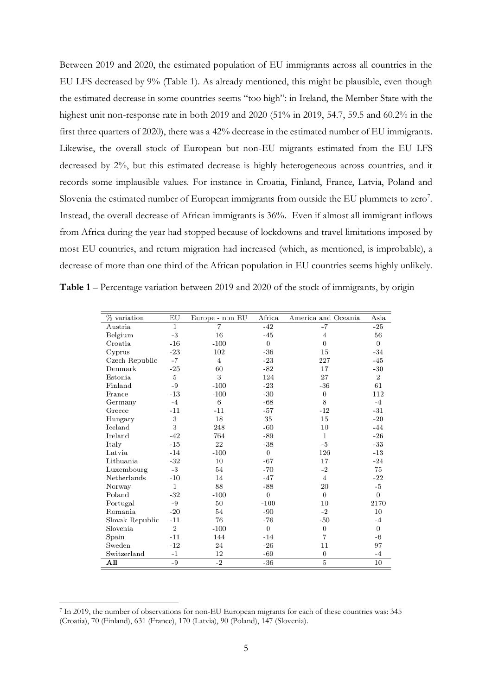Between 2019 and 2020, the estimated population of EU immigrants across all countries in the EU LFS decreased by 9% (Table 1). As already mentioned, this might be plausible, even though the estimated decrease in some countries seems "too high": in Ireland, the Member State with the highest unit non-response rate in both 2019 and 2020 (51% in 2019, 54.7, 59.5 and 60.2% in the first three quarters of 2020), there was a 42% decrease in the estimated number of EU immigrants. Likewise, the overall stock of European but non-EU migrants estimated from the EU LFS decreased by 2%, but this estimated decrease is highly heterogeneous across countries, and it records some implausible values. For instance in Croatia, Finland, France, Latvia, Poland and Slovenia the estimated number of European immigrants from outside the EU plummets to zero<sup>7</sup>. Instead, the overall decrease of African immigrants is 36%. Even if almost all immigrant inflows from Africa during the year had stopped because of lockdowns and travel limitations imposed by most EU countries, and return migration had increased (which, as mentioned, is improbable), a decrease of more than one third of the African population in EU countries seems highly unlikely.

| Table 1 – Percentage variation between 2019 and 2020 of the stock of immigrants, by origin |  |  |  |  |  |  |
|--------------------------------------------------------------------------------------------|--|--|--|--|--|--|
|                                                                                            |  |  |  |  |  |  |
|                                                                                            |  |  |  |  |  |  |

| % variation     | EU             | Europe - non EU | Africa   | America and Oceania | Asia           |
|-----------------|----------------|-----------------|----------|---------------------|----------------|
| Austria         | 1              | $\overline{7}$  | $-42$    | $-7$                | $-25$          |
| Belgium         | -3             | 16              | $-45$    | 4                   | 56             |
| Croatia         | $-16$          | $-100$          | $\theta$ | $\overline{0}$      | $\theta$       |
| Cyprus          | $-23$          | 102             | -36      | 15                  | $-34$          |
| Czech Republic  | -7             | 4               | $-23$    | 227                 | $-45$          |
| Denmark         | $-25$          | 60              | -82      | 17                  | $-30$          |
| Estonia         | 5              | 3               | 124      | 27                  | $\overline{2}$ |
| Finland         | -9             | $-100$          | $-23$    | $-36$               | 61             |
| France          | $-13$          | $-100$          | $-30$    | 0                   | 112            |
| Germany         | $-4$           | 6               | $-68$    | 8                   | $-4$           |
| Greece          | $-11$          | $-11$           | $-57$    | $-12$               | $-31$          |
| Hungary         | 3              | 18              | 35       | 15                  | $-20$          |
| Iceland         | 3              | 248             | $-60$    | 10                  | $-44$          |
| Ireland         | $-42$          | 764             | -89      | 1                   | $-26$          |
| Italy           | $-15$          | 22              | $-38$    | -5                  | $-33$          |
| Latvia          | $-14$          | $-100$          | 0        | 126                 | $-13$          |
| Lithuania       | $-32$          | 10              | $-67$    | 17                  | $-24$          |
| Luxembourg      | -3             | 54              | $-70$    | $-2$                | 75             |
| Netherlands     | $-10$          | 14              | $-47$    | $\overline{4}$      | $-22$          |
| Norway          | $\mathbf{1}$   | 88              | $-88$    | 20                  | -5             |
| Poland          | $-32$          | $-100$          | $\theta$ | $\overline{0}$      | $\theta$       |
| Portugal        | -9             | 50              | $-100$   | 10                  | 2170           |
| Romania         | $-20$          | 54              | $-90$    | $-2$                | 10             |
| Slovak Republic | $-11$          | 76              | -76      | $-50$               | $-4$           |
| Slovenia        | $\overline{2}$ | $-100$          | 0        | $\boldsymbol{0}$    | $\theta$       |
| Spain           | $-11$          | 144             | $-14$    | 7                   | -6             |
| Sweden          | $-12$          | 24              | $-26$    | 11                  | 97             |
| Switzerland     | $-1$           | 12              | -69      | 0                   | $-4$           |
| All             | -9             | $-2$            | $-36$    | 5                   | 10             |

<sup>7</sup> In 2019, the number of observations for non-EU European migrants for each of these countries was: 345 (Croatia), 70 (Finland), 631 (France), 170 (Latvia), 90 (Poland), 147 (Slovenia).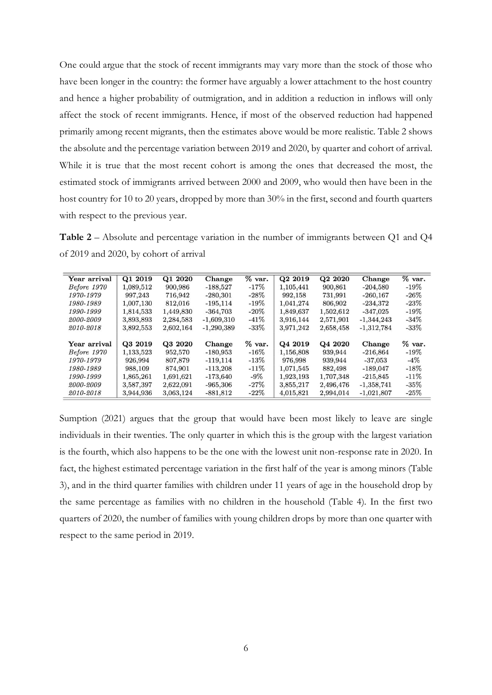One could argue that the stock of recent immigrants may vary more than the stock of those who have been longer in the country: the former have arguably a lower attachment to the host country and hence a higher probability of outmigration, and in addition a reduction in inflows will only affect the stock of recent immigrants. Hence, if most of the observed reduction had happened primarily among recent migrants, then the estimates above would be more realistic. Table 2 shows the absolute and the percentage variation between 2019 and 2020, by quarter and cohort of arrival. While it is true that the most recent cohort is among the ones that decreased the most, the estimated stock of immigrants arrived between 2000 and 2009, who would then have been in the host country for 10 to 20 years, dropped by more than 30% in the first, second and fourth quarters with respect to the previous year.

**Table 2** – Absolute and percentage variation in the number of immigrants between Q1 and Q4 of 2019 and 2020, by cohort of arrival

| Year arrival | Q1 2019   | Q1 2020   | Change       | $%$ var. | Q <sub>2</sub> 2019 | Q <sub>2</sub> 20 <sub>20</sub> | Change       | $%$ var. |
|--------------|-----------|-----------|--------------|----------|---------------------|---------------------------------|--------------|----------|
| Before 1970  | 1.089,512 | 900,986   | $-188.527$   | $-17\%$  | 1.105,441           | 900,861                         | $-204.580$   | $-19%$   |
| 1970-1979    | 997,243   | 716,942   | $-280,301$   | $-28\%$  | 992,158             | 731,991                         | $-260,167$   | $-26\%$  |
| 1980-1989    | 1,007,130 | 812,016   | $-195, 114$  | $-19\%$  | 1,041,274           | 806,902                         | $-234,372$   | $-23%$   |
| 1990-1999    | 1,814,533 | 1,449,830 | $-364,703$   | $-20\%$  | 1,849,637           | 1,502,612                       | $-347.025$   | $-19%$   |
| 2000-2009    | 3,893,893 | 2,284,583 | $-1,609,310$ | $-41\%$  | 3.916.144           | 2,571,901                       | $-1,344,243$ | $-34\%$  |
| 2010-2018    | 3,892,553 | 2,602,164 | $-1,290,389$ | $-33\%$  | 3,971,242           | 2,658,458                       | $-1,312,784$ | $-33%$   |
|              |           |           |              |          |                     |                                 |              |          |
| Year arrival | Q3 2019   | Q3 2020   | Change       | $%$ var. | Q4 2019             | Q4 2020                         | Change       | $%$ var. |
| Before 1970  | 1,133,523 | 952,570   | $-180.953$   | $-16\%$  | 1,156,808           | 939,944                         | $-216.864$   | $-19%$   |
| 1970-1979    | 926,994   | 807,879   | $-119.114$   | $-13\%$  | 976,998             | 939,944                         | $-37,053$    | $-4\%$   |
| 1980-1989    | 988,109   | 874,901   | $-113.208$   | $-11\%$  | 1,071,545           | 882,498                         | $-189.047$   | $-18%$   |
| 1990-1999    | 1,865,261 | 1,691,621 | $-173,640$   | $-9\%$   | 1,923,193           | 1,707,348                       | $-215,845$   | $-11\%$  |
| 2000-2009    | 3,587,397 | 2,622,091 | $-965,306$   | $-27\%$  | 3,855,217           | 2,496,476                       | $-1,358,741$ | $-35%$   |
| 2010-2018    | 3.944,936 | 3.063.124 | $-881,812$   | $-22\%$  | 4,015,821           | 2,994,014                       | $-1,021,807$ | $-25%$   |

Sumption (2021) argues that the group that would have been most likely to leave are single individuals in their twenties. The only quarter in which this is the group with the largest variation is the fourth, which also happens to be the one with the lowest unit non-response rate in 2020. In fact, the highest estimated percentage variation in the first half of the year is among minors (Table 3), and in the third quarter families with children under 11 years of age in the household drop by the same percentage as families with no children in the household (Table 4). In the first two quarters of 2020, the number of families with young children drops by more than one quarter with respect to the same period in 2019.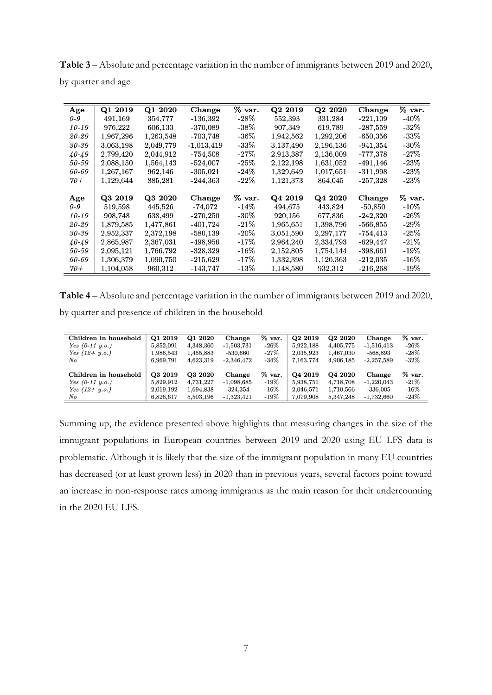**Table 3** – Absolute and percentage variation in the number of immigrants between 2019 and 2020, by quarter and age

| Age       | Q1 2019   | Q1 2020   | Change       | % var.  | Q2 2019   | Q2 2020   | Change      | $\%$ var. |
|-----------|-----------|-----------|--------------|---------|-----------|-----------|-------------|-----------|
| 0-9       | 491,169   | 354.777   | -136,392     | $-28\%$ | 552.393   | 331.284   | $-221,109$  | $-40\%$   |
| 10-19     | 976,222   | 606,133   | $-370,089$   | -38%    | 907,349   | 619,789   | $-287,559$  | $-32\%$   |
| 20-29     | 1,967,296 | 1,263,548 | -703,748     | -36%    | 1,942,562 | 1,292,206 | $-650,356$  | $-33\%$   |
| 30-39     | 3,063,198 | 2,049,779 | $-1,013,419$ | -33%    | 3,137,490 | 2,196,136 | $-941,354$  | $-30\%$   |
| 40-49     | 2,799,420 | 2,044,912 | -754,508     | $-27\%$ | 2,913,387 | 2,136,009 | -777,378    | $-27\%$   |
| 50-59     | 2,088,150 | 1,564,143 | -524,007     | $-25\%$ | 2,122,198 | 1,631,052 | $-491, 146$ | $-23\%$   |
| 60-69     | 1,267,167 | 962.146   | $-305,021$   | $-24\%$ | 1,329,649 | 1,017,651 | $-311,998$  | $-23\%$   |
| $70+$     | 1,129,644 | 885.281   | $-244,363$   | $-22\%$ | 1,121,373 | 864,045   | $-257,328$  | $-23\%$   |
|           |           |           |              |         |           |           |             |           |
| Age       | Q3 2019   | Q3 2020   | Change       | % var.  | Q4 2019   | Q4 2020   | Change      | $%$ var.  |
| 0-9       | 519,598   | 445,526   | -74,072      | -14%    | 494,675   | 443.824   | $-50,850$   | $-10\%$   |
| $10 - 19$ | 908,748   | 638,499   | $-270,250$   | -30%    | 920,156   | 677,836   | -242,320    | $-26\%$   |
| 20-29     | 1,879,585 | 1,477,861 | -401,724     | $-21\%$ | 1,965,651 | 1,398,796 | $-566,855$  | $-29\%$   |
| 30-39     | 2,952,337 | 2,372,198 | $-580,139$   | $-20\%$ | 3,051,590 | 2,297,177 | $-754, 413$ | $-25\%$   |
| 40-49     | 2,865,987 | 2,367,031 | -498,956     | $-17\%$ | 2,964,240 | 2,334,793 | $-629,447$  | $-21\%$   |
| 50-59     | 2,095,121 | 1,766,792 | $-328,329$   | $-16\%$ | 2,152,805 | 1,754,144 | $-398,661$  | $-19\%$   |
| 60-69     | 1,306,379 | 1,090,750 | $-215,629$   | $-17\%$ | 1,332,398 | 1,120,363 | $-212,035$  | $-16\%$   |
| $70+$     | 1,104,058 | 960.312   | -143,747     | -13%    | 1,148,580 | 932,312   | $-216,268$  | $-19\%$   |

**Table 4** – Absolute and percentage variation in the number of immigrants between 2019 and 2020, by quarter and presence of children in the household

| Children in household | Q1 2019   | Q1 2020   | Change       | $%$ var.  | Q <sub>2</sub> 2019 | Q <sub>2</sub> 20 <sub>20</sub> | Change       | $%$ var. |
|-----------------------|-----------|-----------|--------------|-----------|---------------------|---------------------------------|--------------|----------|
| Yes $(0-11, y.o.)$    | 5,852,091 | 4,348,360 | $-1,503,731$ | $-26\%$   | 5,922,188           | 4,405,775                       | $-1,516,413$ | $-26%$   |
| Yes $(12 + y.o.)$     | 1,986,543 | 1,455,883 | -530.660     | $-27%$    | 2,035,923           | 1,467,030                       | $-568.893$   | $-28\%$  |
| No                    | 6.969.791 | 4,623,319 | $-2.346.472$ | $-34%$    | 7,163,774           | 4.906.185                       | $-2.257.589$ | $-32%$   |
|                       |           |           |              |           |                     |                                 |              |          |
| Children in household | Q3 2019   | Q3 2020   | Change       | $\%$ var. | Q4 2019             | Q4 2020                         | Change       | % var.   |
| Yes $(0-11, y.o.)$    | 5,829,912 | 4,731,227 | $-1,098,685$ | $-19%$    | 5,938,751           | 4,718,708                       | $-1,220,043$ | $-21%$   |
| Yes $(12 + y.o.)$     | 2,019,192 | 1,694,838 | $-324.354$   | $-16\%$   | 2,046,571           | 1,710,566                       | $-336,005$   | $-16\%$  |
| No                    | 6,826,617 | 5,503,196 | $-1,323,421$ | $-19\%$   | 7,079,908           | 5,347,248                       | $-1,732,660$ | $-24%$   |

Summing up, the evidence presented above highlights that measuring changes in the size of the immigrant populations in European countries between 2019 and 2020 using EU LFS data is problematic. Although it is likely that the size of the immigrant population in many EU countries has decreased (or at least grown less) in 2020 than in previous years, several factors point toward an increase in non-response rates among immigrants as the main reason for their undercounting in the 2020 EU LFS.